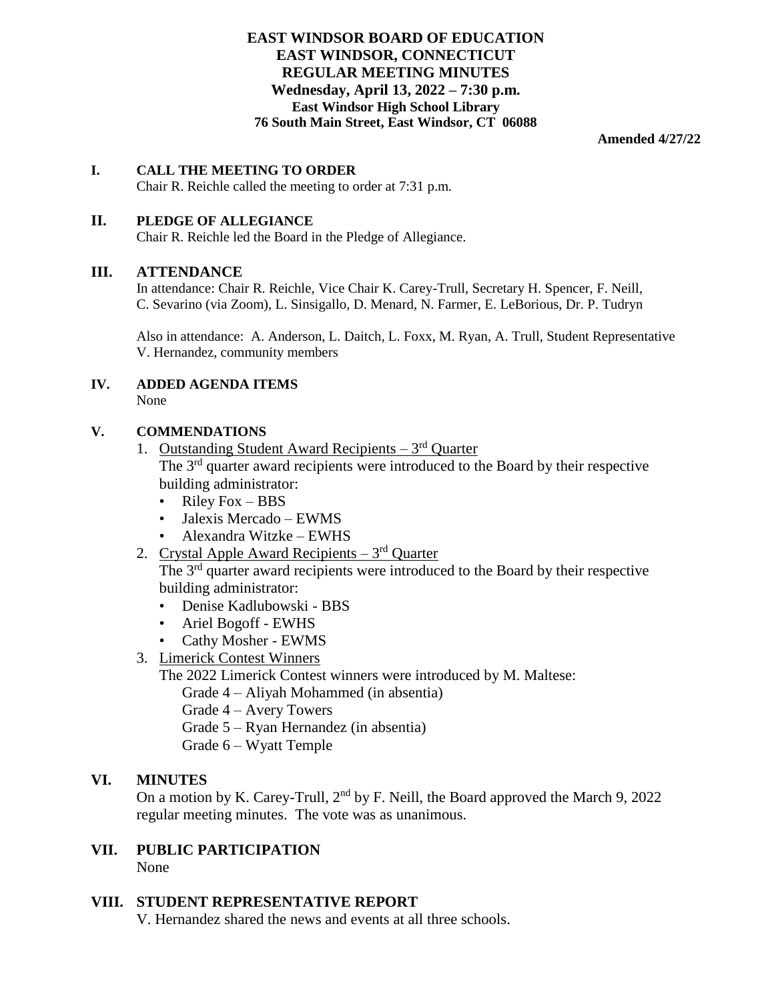### **EAST WINDSOR BOARD OF EDUCATION EAST WINDSOR, CONNECTICUT REGULAR MEETING MINUTES Wednesday, April 13, 2022 – 7:30 p.m. East Windsor High School Library 76 South Main Street, East Windsor, CT 06088**

**Amended 4/27/22**

### **I. CALL THE MEETING TO ORDER**

Chair R. Reichle called the meeting to order at 7:31 p.m.

### **II. PLEDGE OF ALLEGIANCE**

Chair R. Reichle led the Board in the Pledge of Allegiance.

#### **III. ATTENDANCE**

In attendance: Chair R. Reichle, Vice Chair K. Carey-Trull, Secretary H. Spencer, F. Neill, C. Sevarino (via Zoom), L. Sinsigallo, D. Menard, N. Farmer, E. LeBorious, Dr. P. Tudryn

Also in attendance: A. Anderson, L. Daitch, L. Foxx, M. Ryan, A. Trull, Student Representative V. Hernandez, community members

#### **IV. ADDED AGENDA ITEMS** None

### **V. COMMENDATIONS**

1. Outstanding Student Award Recipients  $-3<sup>rd</sup>$  Quarter The 3<sup>rd</sup> quarter award recipients were introduced to the Board by their respective

building administrator:

- Riley Fox BBS
- Jalexis Mercado EWMS
- Alexandra Witzke EWHS
- 2. Crystal Apple Award Recipients 3<sup>rd</sup> Quarter

The 3<sup>rd</sup> quarter award recipients were introduced to the Board by their respective building administrator:

- Denise Kadlubowski BBS
- Ariel Bogoff EWHS
- Cathy Mosher EWMS
- 3. Limerick Contest Winners

The 2022 Limerick Contest winners were introduced by M. Maltese:

Grade 4 – Aliyah Mohammed (in absentia)

- Grade 4 Avery Towers
- Grade 5 Ryan Hernandez (in absentia)
- Grade 6 Wyatt Temple

### **VI. MINUTES**

On a motion by K. Carey-Trull,  $2<sup>nd</sup>$  by F. Neill, the Board approved the March 9, 2022 regular meeting minutes. The vote was as unanimous.

### **VII. PUBLIC PARTICIPATION** None

### **VIII. STUDENT REPRESENTATIVE REPORT**

V. Hernandez shared the news and events at all three schools.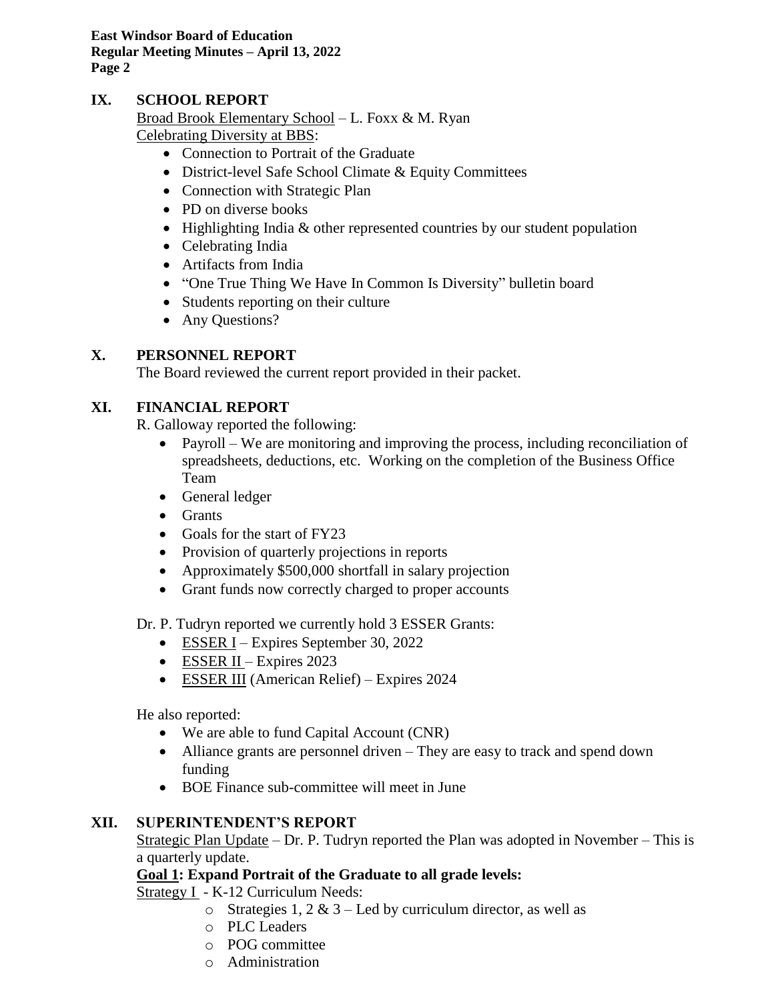# **IX. SCHOOL REPORT**

Broad Brook Elementary School – L. Foxx & M. Ryan Celebrating Diversity at BBS:

- Connection to Portrait of the Graduate
- District-level Safe School Climate & Equity Committees
- Connection with Strategic Plan
- PD on diverse books
- Highlighting India & other represented countries by our student population
- Celebrating India
- Artifacts from India
- "One True Thing We Have In Common Is Diversity" bulletin board
- Students reporting on their culture
- Any Questions?

# **X. PERSONNEL REPORT**

The Board reviewed the current report provided in their packet.

# **XI. FINANCIAL REPORT**

R. Galloway reported the following:

- Payroll We are monitoring and improving the process, including reconciliation of spreadsheets, deductions, etc. Working on the completion of the Business Office Team
- General ledger
- Grants
- Goals for the start of FY23
- Provision of quarterly projections in reports
- Approximately \$500,000 shortfall in salary projection
- Grant funds now correctly charged to proper accounts

Dr. P. Tudryn reported we currently hold 3 ESSER Grants:

- ESSER I Expires September 30, 2022
- ESSER II Expires 2023
- ESSER III (American Relief) Expires 2024

He also reported:

- We are able to fund Capital Account (CNR)
- Alliance grants are personnel driven They are easy to track and spend down funding
- BOE Finance sub-committee will meet in June

# **XII. SUPERINTENDENT'S REPORT**

Strategic Plan Update – Dr. P. Tudryn reported the Plan was adopted in November – This is a quarterly update.

# **Goal 1: Expand Portrait of the Graduate to all grade levels:**

Strategy I - K-12 Curriculum Needs:

- o Strategies 1, 2  $& 3 -$  Led by curriculum director, as well as
- o PLC Leaders
- o POG committee
- o Administration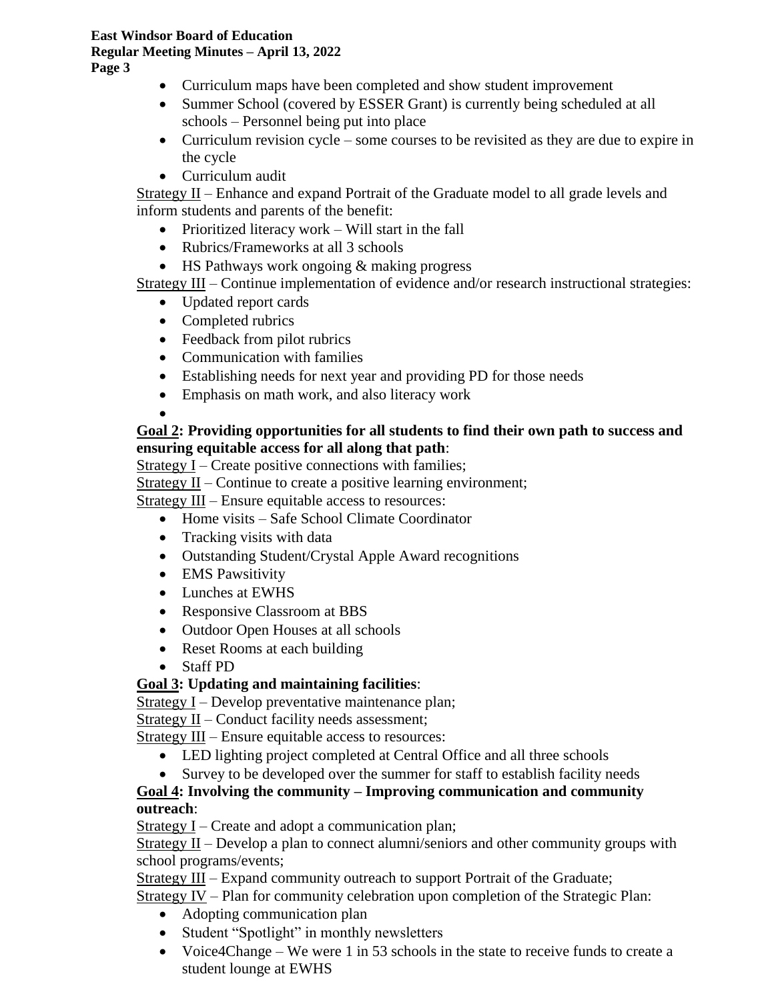- Curriculum maps have been completed and show student improvement
- Summer School (covered by ESSER Grant) is currently being scheduled at all schools – Personnel being put into place
- Curriculum revision cycle some courses to be revisited as they are due to expire in the cycle
- Curriculum audit

Strategy II – Enhance and expand Portrait of the Graduate model to all grade levels and inform students and parents of the benefit:

- Prioritized literacy work Will start in the fall
- Rubrics/Frameworks at all 3 schools
- HS Pathways work ongoing & making progress

Strategy III – Continue implementation of evidence and/or research instructional strategies:

- Updated report cards
- Completed rubrics
- Feedback from pilot rubrics
- Communication with families
- Establishing needs for next year and providing PD for those needs
- Emphasis on math work, and also literacy work
- •

# **Goal 2: Providing opportunities for all students to find their own path to success and ensuring equitable access for all along that path**:

Strategy I – Create positive connections with families;

Strategy II – Continue to create a positive learning environment;

Strategy III – Ensure equitable access to resources:

- Home visits Safe School Climate Coordinator
- Tracking visits with data
- Outstanding Student/Crystal Apple Award recognitions
- EMS Pawsitivity
- Lunches at EWHS
- Responsive Classroom at BBS
- Outdoor Open Houses at all schools
- Reset Rooms at each building
- Staff PD

# **Goal 3: Updating and maintaining facilities**:

Strategy I – Develop preventative maintenance plan;

Strategy II – Conduct facility needs assessment;

Strategy III – Ensure equitable access to resources:

- LED lighting project completed at Central Office and all three schools
- Survey to be developed over the summer for staff to establish facility needs

# **Goal 4: Involving the community – Improving communication and community outreach**:

 $Strategy I - Create$  and adopt a communication plan;

Strategy  $II$  – Develop a plan to connect alumni/seniors and other community groups with school programs/events;

Strategy III – Expand community outreach to support Portrait of the Graduate;

Strategy IV – Plan for community celebration upon completion of the Strategic Plan:

- Adopting communication plan
- Student "Spotlight" in monthly newsletters
- Voice4Change We were 1 in 53 schools in the state to receive funds to create a student lounge at EWHS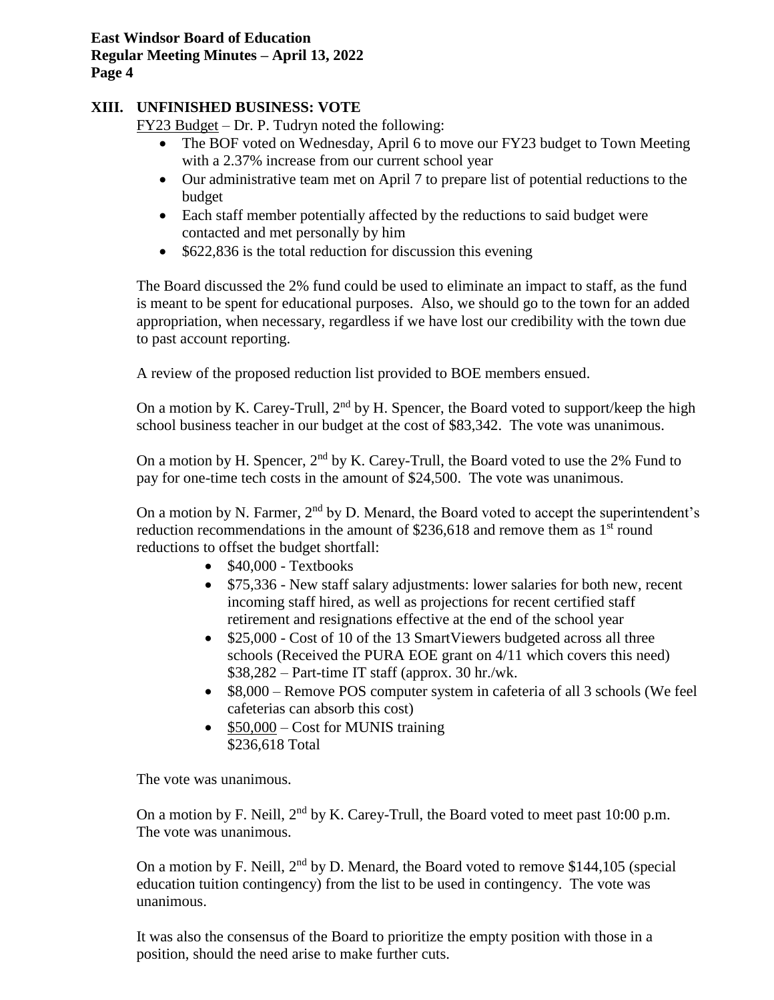# **XIII. UNFINISHED BUSINESS: VOTE**

FY23 Budget – Dr. P. Tudryn noted the following:

- The BOF voted on Wednesday, April 6 to move our FY23 budget to Town Meeting with a 2.37% increase from our current school year
- Our administrative team met on April 7 to prepare list of potential reductions to the budget
- Each staff member potentially affected by the reductions to said budget were contacted and met personally by him
- \$622,836 is the total reduction for discussion this evening

The Board discussed the 2% fund could be used to eliminate an impact to staff, as the fund is meant to be spent for educational purposes. Also, we should go to the town for an added appropriation, when necessary, regardless if we have lost our credibility with the town due to past account reporting.

A review of the proposed reduction list provided to BOE members ensued.

On a motion by K. Carey-Trull,  $2<sup>nd</sup>$  by H. Spencer, the Board voted to support/keep the high school business teacher in our budget at the cost of \$83,342. The vote was unanimous.

On a motion by H. Spencer,  $2<sup>nd</sup>$  by K. Carey-Trull, the Board voted to use the 2% Fund to pay for one-time tech costs in the amount of \$24,500. The vote was unanimous.

On a motion by N. Farmer,  $2<sup>nd</sup>$  by D. Menard, the Board voted to accept the superintendent's reduction recommendations in the amount of  $$236,618$  and remove them as 1<sup>st</sup> round reductions to offset the budget shortfall:

- $\bullet$  \$40,000 Textbooks
- \$75,336 New staff salary adjustments: lower salaries for both new, recent incoming staff hired, as well as projections for recent certified staff retirement and resignations effective at the end of the school year
- \$25,000 Cost of 10 of the 13 SmartViewers budgeted across all three schools (Received the PURA EOE grant on 4/11 which covers this need) \$38,282 – Part-time IT staff (approx. 30 hr./wk.
- \$8,000 Remove POS computer system in cafeteria of all 3 schools (We feel cafeterias can absorb this cost)
- \$50,000 Cost for MUNIS training \$236,618 Total

The vote was unanimous.

On a motion by F. Neill,  $2<sup>nd</sup>$  by K. Carey-Trull, the Board voted to meet past 10:00 p.m. The vote was unanimous.

On a motion by F. Neill,  $2<sup>nd</sup>$  by D. Menard, the Board voted to remove \$144,105 (special education tuition contingency) from the list to be used in contingency. The vote was unanimous.

It was also the consensus of the Board to prioritize the empty position with those in a position, should the need arise to make further cuts.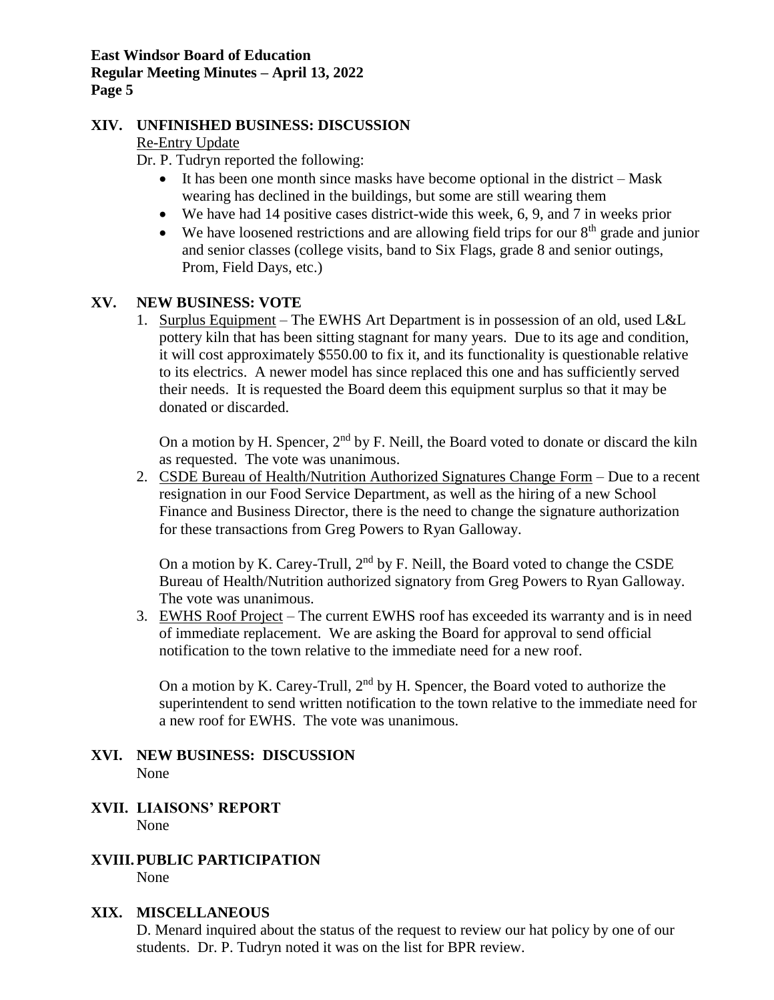### **XIV. UNFINISHED BUSINESS: DISCUSSION**

### Re-Entry Update

Dr. P. Tudryn reported the following:

- It has been one month since masks have become optional in the district Mask wearing has declined in the buildings, but some are still wearing them
- We have had 14 positive cases district-wide this week, 6, 9, and 7 in weeks prior
- We have loosened restrictions and are allowing field trips for our  $8<sup>th</sup>$  grade and junior and senior classes (college visits, band to Six Flags, grade 8 and senior outings, Prom, Field Days, etc.)

### **XV. NEW BUSINESS: VOTE**

1. Surplus Equipment – The EWHS Art Department is in possession of an old, used L&L pottery kiln that has been sitting stagnant for many years. Due to its age and condition, it will cost approximately \$550.00 to fix it, and its functionality is questionable relative to its electrics. A newer model has since replaced this one and has sufficiently served their needs. It is requested the Board deem this equipment surplus so that it may be donated or discarded.

On a motion by H. Spencer,  $2<sup>nd</sup>$  by F. Neill, the Board voted to donate or discard the kiln as requested. The vote was unanimous.

2. CSDE Bureau of Health/Nutrition Authorized Signatures Change Form – Due to a recent resignation in our Food Service Department, as well as the hiring of a new School Finance and Business Director, there is the need to change the signature authorization for these transactions from Greg Powers to Ryan Galloway.

On a motion by K. Carey-Trull,  $2<sup>nd</sup>$  by F. Neill, the Board voted to change the CSDE Bureau of Health/Nutrition authorized signatory from Greg Powers to Ryan Galloway. The vote was unanimous.

3. EWHS Roof Project – The current EWHS roof has exceeded its warranty and is in need of immediate replacement. We are asking the Board for approval to send official notification to the town relative to the immediate need for a new roof.

On a motion by K. Carey-Trull,  $2<sup>nd</sup>$  by H. Spencer, the Board voted to authorize the superintendent to send written notification to the town relative to the immediate need for a new roof for EWHS. The vote was unanimous.

### **XVI. NEW BUSINESS: DISCUSSION** None

### **XVII. LIAISONS' REPORT** None

#### **XVIII.PUBLIC PARTICIPATION** None

### **XIX. MISCELLANEOUS**

D. Menard inquired about the status of the request to review our hat policy by one of our students. Dr. P. Tudryn noted it was on the list for BPR review.